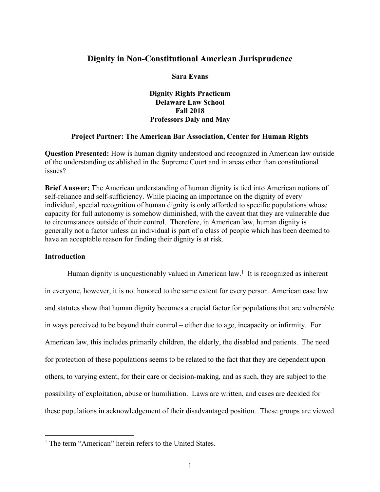# **Dignity in Non-Constitutional American Jurisprudence**

## **Sara Evans**

**Dignity Rights Practicum Delaware Law School Fall 2018 Professors Daly and May**

# **Project Partner: The American Bar Association, Center for Human Rights**

**Question Presented:** How is human dignity understood and recognized in American law outside of the understanding established in the Supreme Court and in areas other than constitutional issues?

**Brief Answer:** The American understanding of human dignity is tied into American notions of self-reliance and self-sufficiency. While placing an importance on the dignity of every individual, special recognition of human dignity is only afforded to specific populations whose capacity for full autonomy is somehow diminished, with the caveat that they are vulnerable due to circumstances outside of their control. Therefore, in American law, human dignity is generally not a factor unless an individual is part of a class of people which has been deemed to have an acceptable reason for finding their dignity is at risk.

# **Introduction**

Human dignity is unquestionably valued in American law.<sup>1</sup> It is recognized as inherent in everyone, however, it is not honored to the same extent for every person. American case law and statutes show that human dignity becomes a crucial factor for populations that are vulnerable in ways perceived to be beyond their control – either due to age, incapacity or infirmity. For American law, this includes primarily children, the elderly, the disabled and patients. The need for protection of these populations seems to be related to the fact that they are dependent upon others, to varying extent, for their care or decision-making, and as such, they are subject to the possibility of exploitation, abuse or humiliation. Laws are written, and cases are decided for these populations in acknowledgement of their disadvantaged position. These groups are viewed

<sup>&</sup>lt;sup>1</sup> The term "American" herein refers to the United States.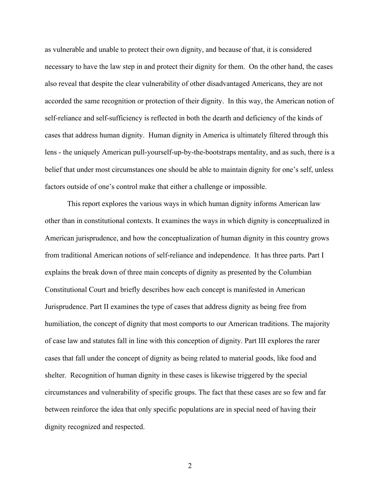as vulnerable and unable to protect their own dignity, and because of that, it is considered necessary to have the law step in and protect their dignity for them. On the other hand, the cases also reveal that despite the clear vulnerability of other disadvantaged Americans, they are not accorded the same recognition or protection of their dignity. In this way, the American notion of self-reliance and self-sufficiency is reflected in both the dearth and deficiency of the kinds of cases that address human dignity. Human dignity in America is ultimately filtered through this lens - the uniquely American pull-yourself-up-by-the-bootstraps mentality, and as such, there is a belief that under most circumstances one should be able to maintain dignity for one's self, unless factors outside of one's control make that either a challenge or impossible.

This report explores the various ways in which human dignity informs American law other than in constitutional contexts. It examines the ways in which dignity is conceptualized in American jurisprudence, and how the conceptualization of human dignity in this country grows from traditional American notions of self-reliance and independence. It has three parts. Part I explains the break down of three main concepts of dignity as presented by the Columbian Constitutional Court and briefly describes how each concept is manifested in American Jurisprudence. Part II examines the type of cases that address dignity as being free from humiliation, the concept of dignity that most comports to our American traditions. The majority of case law and statutes fall in line with this conception of dignity. Part III explores the rarer cases that fall under the concept of dignity as being related to material goods, like food and shelter. Recognition of human dignity in these cases is likewise triggered by the special circumstances and vulnerability of specific groups. The fact that these cases are so few and far between reinforce the idea that only specific populations are in special need of having their dignity recognized and respected.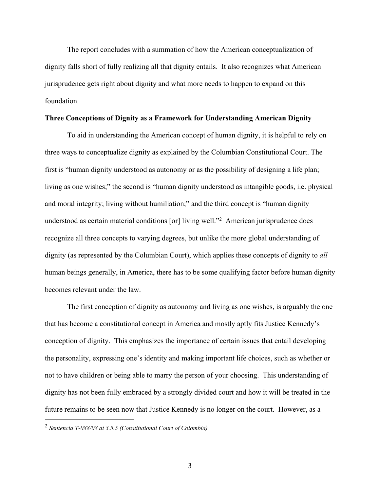The report concludes with a summation of how the American conceptualization of dignity falls short of fully realizing all that dignity entails. It also recognizes what American jurisprudence gets right about dignity and what more needs to happen to expand on this foundation.

#### **Three Conceptions of Dignity as a Framework for Understanding American Dignity**

To aid in understanding the American concept of human dignity, it is helpful to rely on three ways to conceptualize dignity as explained by the Columbian Constitutional Court. The first is "human dignity understood as autonomy or as the possibility of designing a life plan; living as one wishes;" the second is "human dignity understood as intangible goods, i.e. physical and moral integrity; living without humiliation;" and the third concept is "human dignity understood as certain material conditions [or] living well."<sup>2</sup> American jurisprudence does recognize all three concepts to varying degrees, but unlike the more global understanding of dignity (as represented by the Columbian Court), which applies these concepts of dignity to *all* human beings generally, in America, there has to be some qualifying factor before human dignity becomes relevant under the law.

The first conception of dignity as autonomy and living as one wishes, is arguably the one that has become a constitutional concept in America and mostly aptly fits Justice Kennedy's conception of dignity. This emphasizes the importance of certain issues that entail developing the personality, expressing one's identity and making important life choices, such as whether or not to have children or being able to marry the person of your choosing. This understanding of dignity has not been fully embraced by a strongly divided court and how it will be treated in the future remains to be seen now that Justice Kennedy is no longer on the court. However, as a

 <sup>2</sup> *Sentencia T-088/08 at 3.5.5 (Constitutional Court of Colombia)*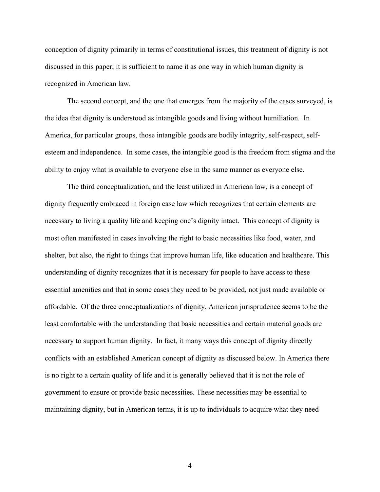conception of dignity primarily in terms of constitutional issues, this treatment of dignity is not discussed in this paper; it is sufficient to name it as one way in which human dignity is recognized in American law.

The second concept, and the one that emerges from the majority of the cases surveyed, is the idea that dignity is understood as intangible goods and living without humiliation. In America, for particular groups, those intangible goods are bodily integrity, self-respect, selfesteem and independence. In some cases, the intangible good is the freedom from stigma and the ability to enjoy what is available to everyone else in the same manner as everyone else.

The third conceptualization, and the least utilized in American law, is a concept of dignity frequently embraced in foreign case law which recognizes that certain elements are necessary to living a quality life and keeping one's dignity intact. This concept of dignity is most often manifested in cases involving the right to basic necessities like food, water, and shelter, but also, the right to things that improve human life, like education and healthcare. This understanding of dignity recognizes that it is necessary for people to have access to these essential amenities and that in some cases they need to be provided, not just made available or affordable. Of the three conceptualizations of dignity, American jurisprudence seems to be the least comfortable with the understanding that basic necessities and certain material goods are necessary to support human dignity. In fact, it many ways this concept of dignity directly conflicts with an established American concept of dignity as discussed below. In America there is no right to a certain quality of life and it is generally believed that it is not the role of government to ensure or provide basic necessities. These necessities may be essential to maintaining dignity, but in American terms, it is up to individuals to acquire what they need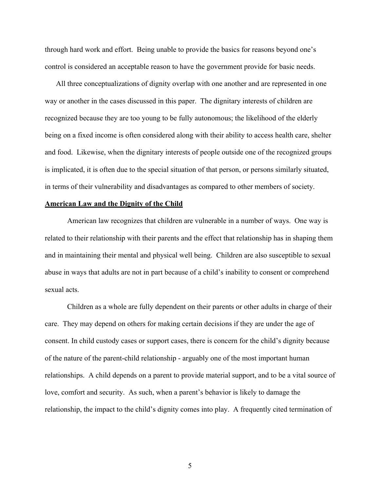through hard work and effort. Being unable to provide the basics for reasons beyond one's control is considered an acceptable reason to have the government provide for basic needs.

All three conceptualizations of dignity overlap with one another and are represented in one way or another in the cases discussed in this paper. The dignitary interests of children are recognized because they are too young to be fully autonomous; the likelihood of the elderly being on a fixed income is often considered along with their ability to access health care, shelter and food. Likewise, when the dignitary interests of people outside one of the recognized groups is implicated, it is often due to the special situation of that person, or persons similarly situated, in terms of their vulnerability and disadvantages as compared to other members of society.

#### **American Law and the Dignity of the Child**

American law recognizes that children are vulnerable in a number of ways. One way is related to their relationship with their parents and the effect that relationship has in shaping them and in maintaining their mental and physical well being. Children are also susceptible to sexual abuse in ways that adults are not in part because of a child's inability to consent or comprehend sexual acts.

Children as a whole are fully dependent on their parents or other adults in charge of their care. They may depend on others for making certain decisions if they are under the age of consent. In child custody cases or support cases, there is concern for the child's dignity because of the nature of the parent-child relationship - arguably one of the most important human relationships. A child depends on a parent to provide material support, and to be a vital source of love, comfort and security. As such, when a parent's behavior is likely to damage the relationship, the impact to the child's dignity comes into play. A frequently cited termination of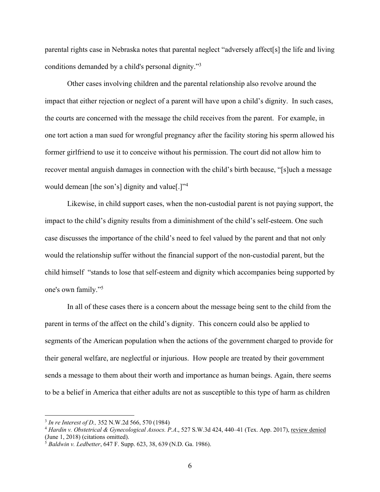parental rights case in Nebraska notes that parental neglect "adversely affect[s] the life and living conditions demanded by a child's personal dignity."3

Other cases involving children and the parental relationship also revolve around the impact that either rejection or neglect of a parent will have upon a child's dignity. In such cases, the courts are concerned with the message the child receives from the parent. For example, in one tort action a man sued for wrongful pregnancy after the facility storing his sperm allowed his former girlfriend to use it to conceive without his permission. The court did not allow him to recover mental anguish damages in connection with the child's birth because, "[s]uch a message would demean [the son's] dignity and value[.]"4

Likewise, in child support cases, when the non-custodial parent is not paying support, the impact to the child's dignity results from a diminishment of the child's self-esteem. One such case discusses the importance of the child's need to feel valued by the parent and that not only would the relationship suffer without the financial support of the non-custodial parent, but the child himself "stands to lose that self-esteem and dignity which accompanies being supported by one's own family."5

In all of these cases there is a concern about the message being sent to the child from the parent in terms of the affect on the child's dignity. This concern could also be applied to segments of the American population when the actions of the government charged to provide for their general welfare, are neglectful or injurious. How people are treated by their government sends a message to them about their worth and importance as human beings. Again, there seems to be a belief in America that either adults are not as susceptible to this type of harm as children

 <sup>3</sup> *In re Interest of D.,* 352 N.W.2d 566, 570 (1984)

<sup>4</sup> *Hardin v. Obstetrical & Gynecological Assocs. P.A*., 527 S.W.3d 424, 440–41 (Tex. App. 2017), review denied (June 1, 2018) (citations omitted).

<sup>5</sup> *Baldwin v. Ledbetter*, 647 F. Supp. 623, 38, 639 (N.D. Ga. 1986).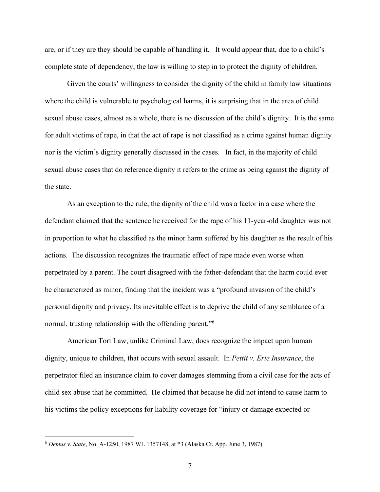are, or if they are they should be capable of handling it. It would appear that, due to a child's complete state of dependency, the law is willing to step in to protect the dignity of children.

Given the courts' willingness to consider the dignity of the child in family law situations where the child is vulnerable to psychological harms, it is surprising that in the area of child sexual abuse cases, almost as a whole, there is no discussion of the child's dignity. It is the same for adult victims of rape, in that the act of rape is not classified as a crime against human dignity nor is the victim's dignity generally discussed in the cases. In fact, in the majority of child sexual abuse cases that do reference dignity it refers to the crime as being against the dignity of the state.

As an exception to the rule, the dignity of the child was a factor in a case where the defendant claimed that the sentence he received for the rape of his 11-year-old daughter was not in proportion to what he classified as the minor harm suffered by his daughter as the result of his actions. The discussion recognizes the traumatic effect of rape made even worse when perpetrated by a parent. The court disagreed with the father-defendant that the harm could ever be characterized as minor, finding that the incident was a "profound invasion of the child's personal dignity and privacy. Its inevitable effect is to deprive the child of any semblance of a normal, trusting relationship with the offending parent."<sup>6</sup>

American Tort Law, unlike Criminal Law, does recognize the impact upon human dignity, unique to children, that occurs with sexual assault. In *Pettit v. Erie Insurance*, the perpetrator filed an insurance claim to cover damages stemming from a civil case for the acts of child sex abuse that he committed. He claimed that because he did not intend to cause harm to his victims the policy exceptions for liability coverage for "injury or damage expected or

 <sup>6</sup> *Demus v. State*, No. A-1250, 1987 WL 1357148, at \*3 (Alaska Ct. App. June 3, 1987)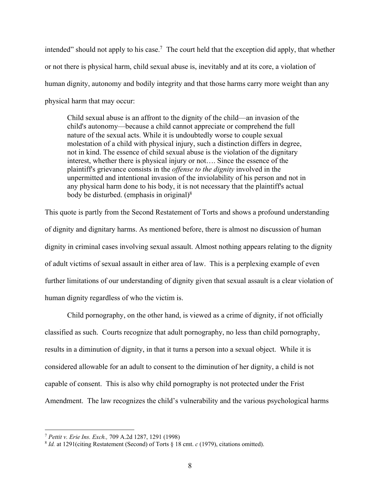intended" should not apply to his case.<sup>7</sup> The court held that the exception did apply, that whether or not there is physical harm, child sexual abuse is, inevitably and at its core, a violation of human dignity, autonomy and bodily integrity and that those harms carry more weight than any physical harm that may occur:

Child sexual abuse is an affront to the dignity of the child—an invasion of the child's autonomy—because a child cannot appreciate or comprehend the full nature of the sexual acts. While it is undoubtedly worse to couple sexual molestation of a child with physical injury, such a distinction differs in degree, not in kind. The essence of child sexual abuse is the violation of the dignitary interest, whether there is physical injury or not…. Since the essence of the plaintiff's grievance consists in the *offense to the dignity* involved in the unpermitted and intentional invasion of the inviolability of his person and not in any physical harm done to his body, it is not necessary that the plaintiff's actual body be disturbed. (emphasis in original) $8$ 

This quote is partly from the Second Restatement of Torts and shows a profound understanding of dignity and dignitary harms. As mentioned before, there is almost no discussion of human dignity in criminal cases involving sexual assault. Almost nothing appears relating to the dignity of adult victims of sexual assault in either area of law. This is a perplexing example of even further limitations of our understanding of dignity given that sexual assault is a clear violation of human dignity regardless of who the victim is.

Child pornography, on the other hand, is viewed as a crime of dignity, if not officially classified as such. Courts recognize that adult pornography, no less than child pornography, results in a diminution of dignity, in that it turns a person into a sexual object. While it is considered allowable for an adult to consent to the diminution of her dignity, a child is not capable of consent. This is also why child pornography is not protected under the Frist Amendment. The law recognizes the child's vulnerability and the various psychological harms

 <sup>7</sup> *Pettit v. Erie Ins. Exch.,* 709 A.2d 1287, 1291 (1998)

<sup>8</sup> *Id.* at 1291(citing Restatement (Second) of Torts § 18 cmt. *c* (1979), citations omitted).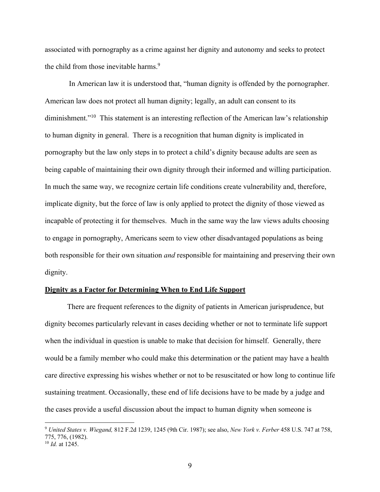associated with pornography as a crime against her dignity and autonomy and seeks to protect the child from those inevitable harms.<sup>9</sup>

In American law it is understood that, "human dignity is offended by the pornographer. American law does not protect all human dignity; legally, an adult can consent to its diminishment."<sup>10</sup> This statement is an interesting reflection of the American law's relationship to human dignity in general. There is a recognition that human dignity is implicated in pornography but the law only steps in to protect a child's dignity because adults are seen as being capable of maintaining their own dignity through their informed and willing participation. In much the same way, we recognize certain life conditions create vulnerability and, therefore, implicate dignity, but the force of law is only applied to protect the dignity of those viewed as incapable of protecting it for themselves. Much in the same way the law views adults choosing to engage in pornography, Americans seem to view other disadvantaged populations as being both responsible for their own situation *and* responsible for maintaining and preserving their own dignity.

### **Dignity as a Factor for Determining When to End Life Support**

There are frequent references to the dignity of patients in American jurisprudence, but dignity becomes particularly relevant in cases deciding whether or not to terminate life support when the individual in question is unable to make that decision for himself. Generally, there would be a family member who could make this determination or the patient may have a health care directive expressing his wishes whether or not to be resuscitated or how long to continue life sustaining treatment. Occasionally, these end of life decisions have to be made by a judge and the cases provide a useful discussion about the impact to human dignity when someone is

 <sup>9</sup> *United States v. Wiegand,* 812 F.2d 1239, 1245 (9th Cir. 1987); see also, *New York v. Ferber* <sup>458</sup> U.S. 747 at 758, 775, 776, (1982).

<sup>10</sup> *Id.* at 1245.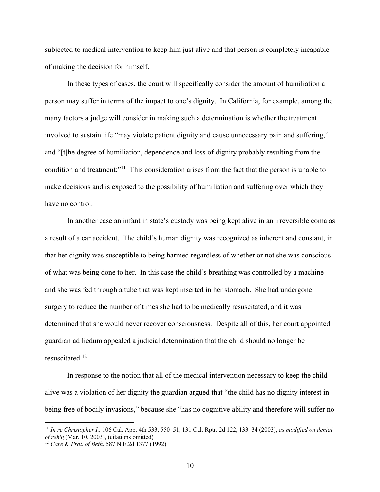subjected to medical intervention to keep him just alive and that person is completely incapable of making the decision for himself.

In these types of cases, the court will specifically consider the amount of humiliation a person may suffer in terms of the impact to one's dignity. In California, for example, among the many factors a judge will consider in making such a determination is whether the treatment involved to sustain life "may violate patient dignity and cause unnecessary pain and suffering," and "[t]he degree of humiliation, dependence and loss of dignity probably resulting from the condition and treatment;"11 This consideration arises from the fact that the person is unable to make decisions and is exposed to the possibility of humiliation and suffering over which they have no control.

In another case an infant in state's custody was being kept alive in an irreversible coma as a result of a car accident. The child's human dignity was recognized as inherent and constant, in that her dignity was susceptible to being harmed regardless of whether or not she was conscious of what was being done to her. In this case the child's breathing was controlled by a machine and she was fed through a tube that was kept inserted in her stomach. She had undergone surgery to reduce the number of times she had to be medically resuscitated, and it was determined that she would never recover consciousness. Despite all of this, her court appointed guardian ad liedum appealed a judicial determination that the child should no longer be resuscitated.12

In response to the notion that all of the medical intervention necessary to keep the child alive was a violation of her dignity the guardian argued that "the child has no dignity interest in being free of bodily invasions," because she "has no cognitive ability and therefore will suffer no

 <sup>11</sup> *In re Christopher I.,* 106 Cal. App. 4th 533, 550–51, 131 Cal. Rptr. 2d 122, 133–34 (2003), *as modified on denial of reh'g* (Mar. 10, 2003), (citations omitted)

<sup>12</sup> *Care & Prot. of Beth*, 587 N.E.2d 1377 (1992)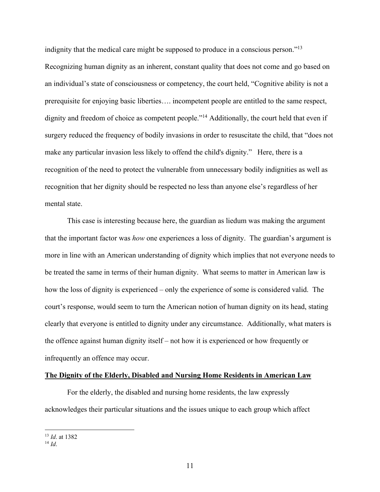indignity that the medical care might be supposed to produce in a conscious person."13 Recognizing human dignity as an inherent, constant quality that does not come and go based on an individual's state of consciousness or competency, the court held, "Cognitive ability is not a prerequisite for enjoying basic liberties…. incompetent people are entitled to the same respect, dignity and freedom of choice as competent people."<sup>14</sup> Additionally, the court held that even if surgery reduced the frequency of bodily invasions in order to resuscitate the child, that "does not make any particular invasion less likely to offend the child's dignity." Here, there is a recognition of the need to protect the vulnerable from unnecessary bodily indignities as well as recognition that her dignity should be respected no less than anyone else's regardless of her mental state.

This case is interesting because here, the guardian as liedum was making the argument that the important factor was *how* one experiences a loss of dignity. The guardian's argument is more in line with an American understanding of dignity which implies that not everyone needs to be treated the same in terms of their human dignity. What seems to matter in American law is how the loss of dignity is experienced – only the experience of some is considered valid. The court's response, would seem to turn the American notion of human dignity on its head, stating clearly that everyone is entitled to dignity under any circumstance. Additionally, what maters is the offence against human dignity itself – not how it is experienced or how frequently or infrequently an offence may occur.

## **The Dignity of the Elderly, Disabled and Nursing Home Residents in American Law**

For the elderly, the disabled and nursing home residents, the law expressly acknowledges their particular situations and the issues unique to each group which affect

<sup>13</sup> *Id*. at 1382 14 *Id*.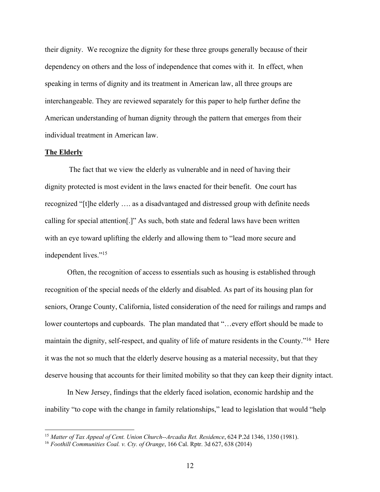their dignity. We recognize the dignity for these three groups generally because of their dependency on others and the loss of independence that comes with it. In effect, when speaking in terms of dignity and its treatment in American law, all three groups are interchangeable. They are reviewed separately for this paper to help further define the American understanding of human dignity through the pattern that emerges from their individual treatment in American law.

#### **The Elderly**

The fact that we view the elderly as vulnerable and in need of having their dignity protected is most evident in the laws enacted for their benefit. One court has recognized "[t]he elderly …. as a disadvantaged and distressed group with definite needs calling for special attention[.]" As such, both state and federal laws have been written with an eye toward uplifting the elderly and allowing them to "lead more secure and independent lives."15

Often, the recognition of access to essentials such as housing is established through recognition of the special needs of the elderly and disabled. As part of its housing plan for seniors, Orange County, California, listed consideration of the need for railings and ramps and lower countertops and cupboards. The plan mandated that "...every effort should be made to maintain the dignity, self-respect, and quality of life of mature residents in the County."<sup>16</sup> Here it was the not so much that the elderly deserve housing as a material necessity, but that they deserve housing that accounts for their limited mobility so that they can keep their dignity intact.

In New Jersey, findings that the elderly faced isolation, economic hardship and the inability "to cope with the change in family relationships," lead to legislation that would "help

 <sup>15</sup> *Matter of Tax Appeal of Cent. Union Church--Arcadia Ret. Residence*, 624 P.2d 1346, 1350 (1981).

<sup>16</sup> *Foothill Communities Coal. v. Cty. of Orange*, 166 Cal. Rptr. 3d 627, 638 (2014)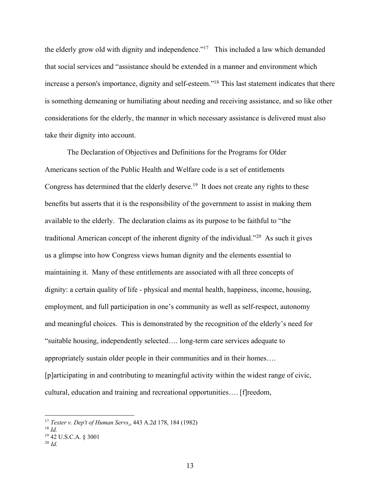the elderly grow old with dignity and independence."17 This included a law which demanded that social services and "assistance should be extended in a manner and environment which increase a person's importance, dignity and self-esteem."<sup>18</sup> This last statement indicates that there is something demeaning or humiliating about needing and receiving assistance, and so like other considerations for the elderly, the manner in which necessary assistance is delivered must also take their dignity into account.

The Declaration of Objectives and Definitions for the Programs for Older Americans section of the Public Health and Welfare code is a set of entitlements Congress has determined that the elderly deserve.<sup>19</sup> It does not create any rights to these benefits but asserts that it is the responsibility of the government to assist in making them available to the elderly. The declaration claims as its purpose to be faithful to "the traditional American concept of the inherent dignity of the individual."20 As such it gives us a glimpse into how Congress views human dignity and the elements essential to maintaining it. Many of these entitlements are associated with all three concepts of dignity: a certain quality of life - physical and mental health, happiness, income, housing, employment, and full participation in one's community as well as self-respect, autonomy and meaningful choices. This is demonstrated by the recognition of the elderly's need for "suitable housing, independently selected…. long-term care services adequate to appropriately sustain older people in their communities and in their homes…. [p]articipating in and contributing to meaningful activity within the widest range of civic, cultural, education and training and recreational opportunities…. [f]reedom,

 <sup>17</sup> *Texter v. Dep't of Human Servs*., 443 A.2d 178, 184 (1982)

<sup>18</sup> *Id.*

<sup>19</sup> 42 U.S.C.A. § 3001

<sup>20</sup> *Id.*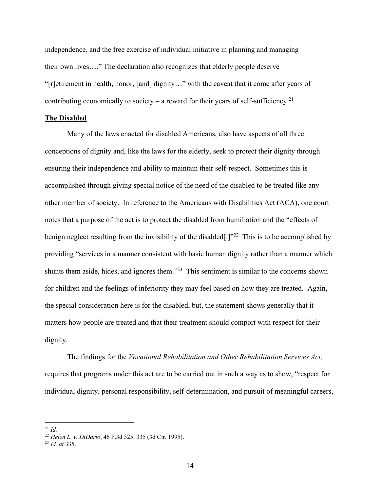independence, and the free exercise of individual initiative in planning and managing their own lives…." The declaration also recognizes that elderly people deserve "[r]etirement in health, honor, [and] dignity…" with the caveat that it come after years of contributing economically to society – a reward for their years of self-sufficiency.<sup>21</sup>

## **The Disabled**

Many of the laws enacted for disabled Americans, also have aspects of all three conceptions of dignity and, like the laws for the elderly, seek to protect their dignity through ensuring their independence and ability to maintain their self-respect. Sometimes this is accomplished through giving special notice of the need of the disabled to be treated like any other member of society. In reference to the Americans with Disabilities Act (ACA), one court notes that a purpose of the act is to protect the disabled from humiliation and the "effects of benign neglect resulting from the invisibility of the disabled. [ $1^{22}$  This is to be accomplished by providing "services in a manner consistent with basic human dignity rather than a manner which shunts them aside, hides, and ignores them."23 This sentiment is similar to the concerns shown for children and the feelings of inferiority they may feel based on how they are treated. Again, the special consideration here is for the disabled, but, the statement shows generally that it matters how people are treated and that their treatment should comport with respect for their dignity.

The findings for the *Vocational Rehabilitation and Other Rehabilitation Services Act,* requires that programs under this act are to be carried out in such a way as to show, "respect for individual dignity, personal responsibility, self-determination, and pursuit of meaningful careers,

 <sup>21</sup> *Id.*

<sup>22</sup> *Helen L. v. DiDario*, 46 F.3d 325, 335 (3d Cir. 1995).

<sup>23</sup> *Id. at* 335.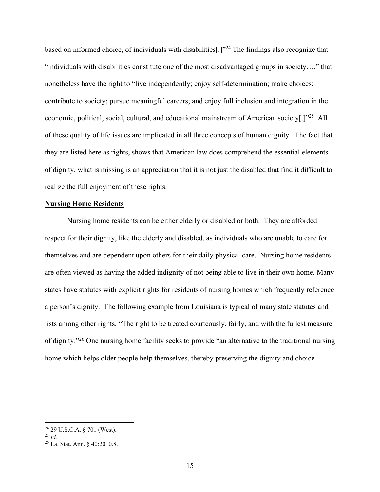based on informed choice, of individuals with disabilities[.]"24 The findings also recognize that "individuals with disabilities constitute one of the most disadvantaged groups in society…." that nonetheless have the right to "live independently; enjoy self-determination; make choices; contribute to society; pursue meaningful careers; and enjoy full inclusion and integration in the economic, political, social, cultural, and educational mainstream of American society[.]"25 All of these quality of life issues are implicated in all three concepts of human dignity. The fact that they are listed here as rights, shows that American law does comprehend the essential elements of dignity, what is missing is an appreciation that it is not just the disabled that find it difficult to realize the full enjoyment of these rights.

# **Nursing Home Residents**

Nursing home residents can be either elderly or disabled or both. They are afforded respect for their dignity, like the elderly and disabled, as individuals who are unable to care for themselves and are dependent upon others for their daily physical care. Nursing home residents are often viewed as having the added indignity of not being able to live in their own home. Many states have statutes with explicit rights for residents of nursing homes which frequently reference a person's dignity. The following example from Louisiana is typical of many state statutes and lists among other rights, "The right to be treated courteously, fairly, and with the fullest measure of dignity."26 One nursing home facility seeks to provide "an alternative to the traditional nursing home which helps older people help themselves, thereby preserving the dignity and choice

 <sup>24</sup> 29 U.S.C.A. § 701 (West).

<sup>25</sup> *Id.*

<sup>26</sup> La. Stat. Ann. § 40:2010.8.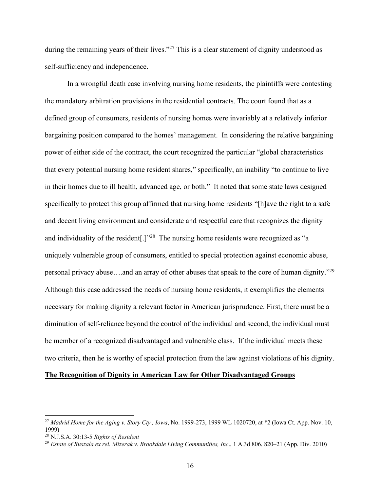during the remaining years of their lives."<sup>27</sup> This is a clear statement of dignity understood as self-sufficiency and independence.

In a wrongful death case involving nursing home residents, the plaintiffs were contesting the mandatory arbitration provisions in the residential contracts. The court found that as a defined group of consumers, residents of nursing homes were invariably at a relatively inferior bargaining position compared to the homes' management. In considering the relative bargaining power of either side of the contract, the court recognized the particular "global characteristics that every potential nursing home resident shares," specifically, an inability "to continue to live in their homes due to ill health, advanced age, or both." It noted that some state laws designed specifically to protect this group affirmed that nursing home residents "[h]ave the right to a safe and decent living environment and considerate and respectful care that recognizes the dignity and individuality of the resident<sup>[1]</sup>.<sup>28</sup> The nursing home residents were recognized as "a uniquely vulnerable group of consumers, entitled to special protection against economic abuse, personal privacy abuse….and an array of other abuses that speak to the core of human dignity."29 Although this case addressed the needs of nursing home residents, it exemplifies the elements necessary for making dignity a relevant factor in American jurisprudence. First, there must be a diminution of self-reliance beyond the control of the individual and second, the individual must be member of a recognized disadvantaged and vulnerable class. If the individual meets these two criteria, then he is worthy of special protection from the law against violations of his dignity.

## **The Recognition of Dignity in American Law for Other Disadvantaged Groups**

 <sup>27</sup> *Madrid Home for the Aging v. Story Cty., Iowa*, No. 1999-273, 1999 WL 1020720, at \*2 (Iowa Ct. App. Nov. 10, 1999)

<sup>28</sup> N.J.S.A. 30:13-5 *Rights of Resident*

<sup>29</sup> *Estate of Ruszala ex rel. Mizerak v. Brookdale Living Communities, Inc*., 1 A.3d 806, 820–21 (App. Div. 2010)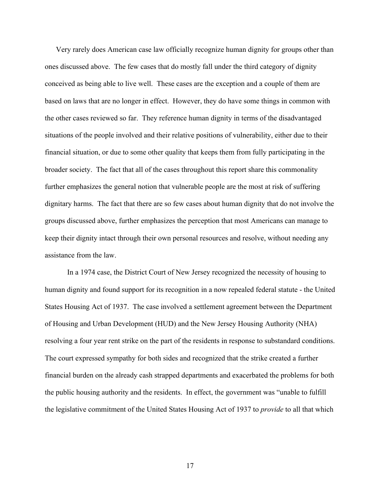Very rarely does American case law officially recognize human dignity for groups other than ones discussed above. The few cases that do mostly fall under the third category of dignity conceived as being able to live well. These cases are the exception and a couple of them are based on laws that are no longer in effect. However, they do have some things in common with the other cases reviewed so far. They reference human dignity in terms of the disadvantaged situations of the people involved and their relative positions of vulnerability, either due to their financial situation, or due to some other quality that keeps them from fully participating in the broader society. The fact that all of the cases throughout this report share this commonality further emphasizes the general notion that vulnerable people are the most at risk of suffering dignitary harms. The fact that there are so few cases about human dignity that do not involve the groups discussed above, further emphasizes the perception that most Americans can manage to keep their dignity intact through their own personal resources and resolve, without needing any assistance from the law.

In a 1974 case, the District Court of New Jersey recognized the necessity of housing to human dignity and found support for its recognition in a now repealed federal statute - the United States Housing Act of 1937. The case involved a settlement agreement between the Department of Housing and Urban Development (HUD) and the New Jersey Housing Authority (NHA) resolving a four year rent strike on the part of the residents in response to substandard conditions. The court expressed sympathy for both sides and recognized that the strike created a further financial burden on the already cash strapped departments and exacerbated the problems for both the public housing authority and the residents. In effect, the government was "unable to fulfill the legislative commitment of the United States Housing Act of 1937 to *provide* to all that which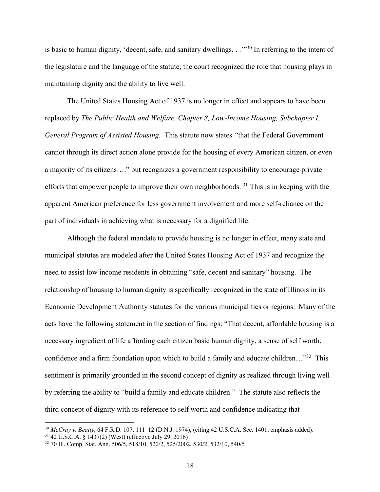is basic to human dignity, 'decent, safe, and sanitary dwellings. . .'"30 In referring to the intent of the legislature and the language of the statute, the court recognized the role that housing plays in maintaining dignity and the ability to live well.

The United States Housing Act of 1937 is no longer in effect and appears to have been replaced by *The Public Health and Welfare, Chapter 8, Low-Income Housing, Subchapter I. General Program of Assisted Housing.* This statute now states *"*that the Federal Government cannot through its direct action alone provide for the housing of every American citizen, or even a majority of its citizens…." but recognizes a government responsibility to encourage private efforts that empower people to improve their own neighborhoods.  $31$  This is in keeping with the apparent American preference for less government involvement and more self-reliance on the part of individuals in achieving what is necessary for a dignified life.

Although the federal mandate to provide housing is no longer in effect, many state and municipal statutes are modeled after the United States Housing Act of 1937 and recognize the need to assist low income residents in obtaining "safe, decent and sanitary" housing. The relationship of housing to human dignity is specifically recognized in the state of Illinois in its Economic Development Authority statutes for the various municipalities or regions. Many of the acts have the following statement in the section of findings: "That decent, affordable housing is a necessary ingredient of life affording each citizen basic human dignity, a sense of self worth, confidence and a firm foundation upon which to build a family and educate children..."<sup>32</sup> This sentiment is primarily grounded in the second concept of dignity as realized through living well by referring the ability to "build a family and educate children." The statute also reflects the third concept of dignity with its reference to self worth and confidence indicating that

<sup>30</sup> *McCray v. Beatty*, 64 F.R.D. 107, 111–12 (D.N.J. 1974), (citing 42 U.S.C.A. Sec. 1401, emphasis added). 31 42 U.S.C.A. § 1437(2) (West) (effective July 29, 2016)

<sup>32</sup> 70 Ill. Comp. Stat. Ann. 506/5, 518/10, 520/2, 525/2002, 530/2, 532/10, 540/5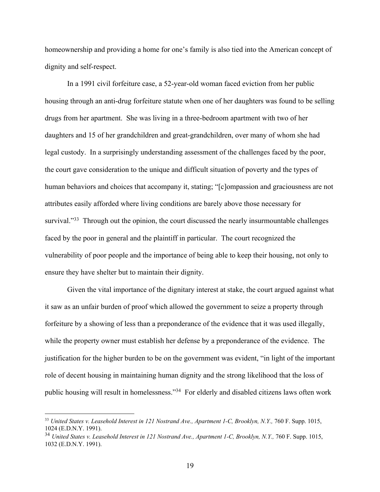homeownership and providing a home for one's family is also tied into the American concept of dignity and self-respect.

In a 1991 civil forfeiture case, a 52-year-old woman faced eviction from her public housing through an anti-drug forfeiture statute when one of her daughters was found to be selling drugs from her apartment. She was living in a three-bedroom apartment with two of her daughters and 15 of her grandchildren and great-grandchildren, over many of whom she had legal custody. In a surprisingly understanding assessment of the challenges faced by the poor, the court gave consideration to the unique and difficult situation of poverty and the types of human behaviors and choices that accompany it, stating; "[c]ompassion and graciousness are not attributes easily afforded where living conditions are barely above those necessary for survival."<sup>33</sup> Through out the opinion, the court discussed the nearly insurmountable challenges faced by the poor in general and the plaintiff in particular. The court recognized the vulnerability of poor people and the importance of being able to keep their housing, not only to ensure they have shelter but to maintain their dignity.

Given the vital importance of the dignitary interest at stake, the court argued against what it saw as an unfair burden of proof which allowed the government to seize a property through forfeiture by a showing of less than a preponderance of the evidence that it was used illegally, while the property owner must establish her defense by a preponderance of the evidence. The justification for the higher burden to be on the government was evident, "in light of the important role of decent housing in maintaining human dignity and the strong likelihood that the loss of public housing will result in homelessness."34 For elderly and disabled citizens laws often work

<sup>&</sup>lt;sup>33</sup> United States v. Leasehold Interest in 121 Nostrand Ave., Apartment 1-C, Brooklyn, N.Y., 760 F. Supp. 1015, 1024 (E.D.N.Y. 1991).

<sup>34</sup> *United States v. Leasehold Interest in 121 Nostrand Ave., Apartment 1-C, Brooklyn, N.Y.,* 760 F. Supp. 1015, 1032 (E.D.N.Y. 1991).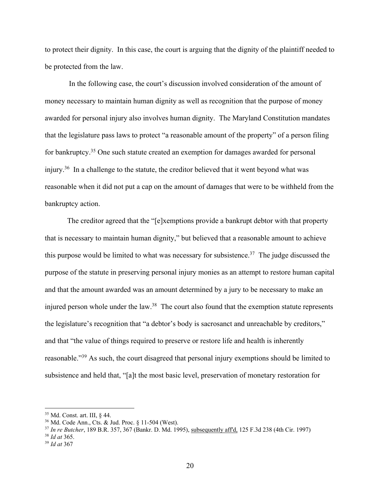to protect their dignity. In this case, the court is arguing that the dignity of the plaintiff needed to be protected from the law.

In the following case, the court's discussion involved consideration of the amount of money necessary to maintain human dignity as well as recognition that the purpose of money awarded for personal injury also involves human dignity. The Maryland Constitution mandates that the legislature pass laws to protect "a reasonable amount of the property" of a person filing for bankruptcy.35 One such statute created an exemption for damages awarded for personal injury.<sup>36</sup> In a challenge to the statute, the creditor believed that it went beyond what was reasonable when it did not put a cap on the amount of damages that were to be withheld from the bankruptcy action.

The creditor agreed that the "[e]xemptions provide a bankrupt debtor with that property that is necessary to maintain human dignity," but believed that a reasonable amount to achieve this purpose would be limited to what was necessary for subsistence.<sup>37</sup> The judge discussed the purpose of the statute in preserving personal injury monies as an attempt to restore human capital and that the amount awarded was an amount determined by a jury to be necessary to make an injured person whole under the law.<sup>38</sup> The court also found that the exemption statute represents the legislature's recognition that "a debtor's body is sacrosanct and unreachable by creditors," and that "the value of things required to preserve or restore life and health is inherently reasonable."39 As such, the court disagreed that personal injury exemptions should be limited to subsistence and held that, "[a]t the most basic level, preservation of monetary restoration for

 <sup>35</sup> Md. Const. art. III, § 44.

<sup>36</sup> Md. Code Ann., Cts. & Jud. Proc. § 11-504 (West).

<sup>37</sup> *In re Butcher*, 189 B.R. 357, 367 (Bankr. D. Md. 1995), subsequently aff'd, 125 F.3d 238 (4th Cir. 1997)

<sup>38</sup> *Id at* 365.

<sup>39</sup> *Id at* 367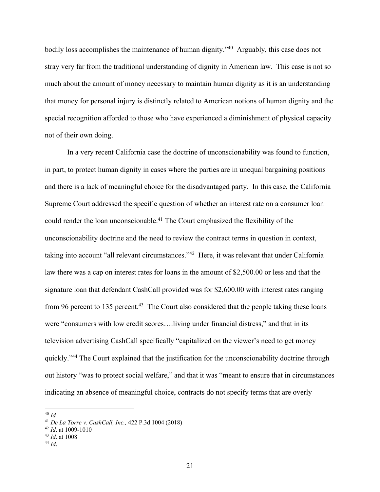bodily loss accomplishes the maintenance of human dignity."<sup>40</sup> Arguably, this case does not stray very far from the traditional understanding of dignity in American law. This case is not so much about the amount of money necessary to maintain human dignity as it is an understanding that money for personal injury is distinctly related to American notions of human dignity and the special recognition afforded to those who have experienced a diminishment of physical capacity not of their own doing.

In a very recent California case the doctrine of unconscionability was found to function, in part, to protect human dignity in cases where the parties are in unequal bargaining positions and there is a lack of meaningful choice for the disadvantaged party. In this case, the California Supreme Court addressed the specific question of whether an interest rate on a consumer loan could render the loan unconscionable.41 The Court emphasized the flexibility of the unconscionability doctrine and the need to review the contract terms in question in context, taking into account "all relevant circumstances."<sup>42</sup> Here, it was relevant that under California law there was a cap on interest rates for loans in the amount of \$2,500.00 or less and that the signature loan that defendant CashCall provided was for \$2,600.00 with interest rates ranging from 96 percent to 135 percent.<sup>43</sup> The Court also considered that the people taking these loans were "consumers with low credit scores….living under financial distress," and that in its television advertising CashCall specifically "capitalized on the viewer's need to get money quickly."44 The Court explained that the justification for the unconscionability doctrine through out history "was to protect social welfare," and that it was "meant to ensure that in circumstances indicating an absence of meaningful choice, contracts do not specify terms that are overly

<sup>43</sup> *Id*. at 1008

 <sup>40</sup> *Id*

<sup>41</sup> *De La Torre v. CashCall, Inc.,* 422 P.3d 1004 (2018)

<sup>42</sup> *Id*. at 1009-1010

<sup>44</sup> *Id*.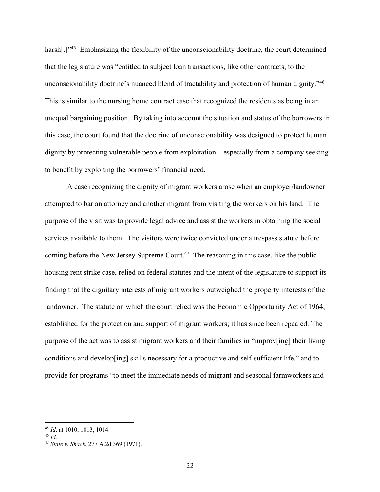harsh[.]"<sup>45</sup> Emphasizing the flexibility of the unconscionability doctrine, the court determined that the legislature was "entitled to subject loan transactions, like other contracts, to the unconscionability doctrine's nuanced blend of tractability and protection of human dignity."46 This is similar to the nursing home contract case that recognized the residents as being in an unequal bargaining position. By taking into account the situation and status of the borrowers in this case, the court found that the doctrine of unconscionability was designed to protect human dignity by protecting vulnerable people from exploitation – especially from a company seeking to benefit by exploiting the borrowers' financial need.

A case recognizing the dignity of migrant workers arose when an employer/landowner attempted to bar an attorney and another migrant from visiting the workers on his land. The purpose of the visit was to provide legal advice and assist the workers in obtaining the social services available to them. The visitors were twice convicted under a trespass statute before coming before the New Jersey Supreme Court.<sup>47</sup> The reasoning in this case, like the public housing rent strike case, relied on federal statutes and the intent of the legislature to support its finding that the dignitary interests of migrant workers outweighed the property interests of the landowner. The statute on which the court relied was the Economic Opportunity Act of 1964, established for the protection and support of migrant workers; it has since been repealed. The purpose of the act was to assist migrant workers and their families in "improv[ing] their living conditions and develop[ing] skills necessary for a productive and self-sufficient life," and to provide for programs "to meet the immediate needs of migrant and seasonal farmworkers and

 <sup>45</sup> *Id*. at 1010, 1013, 1014.

<sup>46</sup> *Id.* 

<sup>47</sup> *State v. Shack*, 277 A.2d 369 (1971).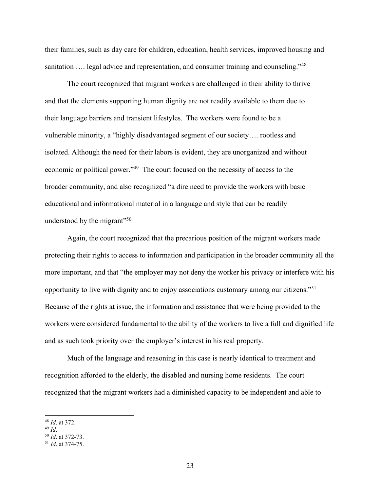their families, such as day care for children, education, health services, improved housing and sanitation .... legal advice and representation, and consumer training and counseling."<sup>48</sup>

The court recognized that migrant workers are challenged in their ability to thrive and that the elements supporting human dignity are not readily available to them due to their language barriers and transient lifestyles. The workers were found to be a vulnerable minority, a "highly disadvantaged segment of our society…. rootless and isolated. Although the need for their labors is evident, they are unorganized and without economic or political power."49 The court focused on the necessity of access to the broader community, and also recognized "a dire need to provide the workers with basic educational and informational material in a language and style that can be readily understood by the migrant $\frac{1}{50}$ 

Again, the court recognized that the precarious position of the migrant workers made protecting their rights to access to information and participation in the broader community all the more important, and that "the employer may not deny the worker his privacy or interfere with his opportunity to live with dignity and to enjoy associations customary among our citizens."51 Because of the rights at issue, the information and assistance that were being provided to the workers were considered fundamental to the ability of the workers to live a full and dignified life and as such took priority over the employer's interest in his real property.

Much of the language and reasoning in this case is nearly identical to treatment and recognition afforded to the elderly, the disabled and nursing home residents. The court recognized that the migrant workers had a diminished capacity to be independent and able to

<sup>&</sup>lt;sup>48</sup> *Id.* at 372.<br><sup>49</sup> *Id.* 

<sup>49</sup> *Id*. 50 *Id*. at 372-73.

<sup>51</sup> *Id*. at 374-75.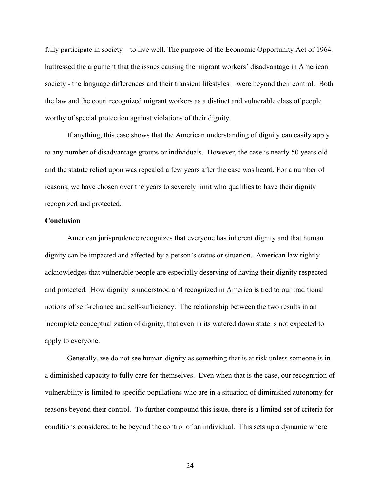fully participate in society – to live well. The purpose of the Economic Opportunity Act of 1964, buttressed the argument that the issues causing the migrant workers' disadvantage in American society - the language differences and their transient lifestyles – were beyond their control. Both the law and the court recognized migrant workers as a distinct and vulnerable class of people worthy of special protection against violations of their dignity.

If anything, this case shows that the American understanding of dignity can easily apply to any number of disadvantage groups or individuals. However, the case is nearly 50 years old and the statute relied upon was repealed a few years after the case was heard. For a number of reasons, we have chosen over the years to severely limit who qualifies to have their dignity recognized and protected.

### **Conclusion**

American jurisprudence recognizes that everyone has inherent dignity and that human dignity can be impacted and affected by a person's status or situation. American law rightly acknowledges that vulnerable people are especially deserving of having their dignity respected and protected. How dignity is understood and recognized in America is tied to our traditional notions of self-reliance and self-sufficiency. The relationship between the two results in an incomplete conceptualization of dignity, that even in its watered down state is not expected to apply to everyone.

Generally, we do not see human dignity as something that is at risk unless someone is in a diminished capacity to fully care for themselves. Even when that is the case, our recognition of vulnerability is limited to specific populations who are in a situation of diminished autonomy for reasons beyond their control. To further compound this issue, there is a limited set of criteria for conditions considered to be beyond the control of an individual. This sets up a dynamic where